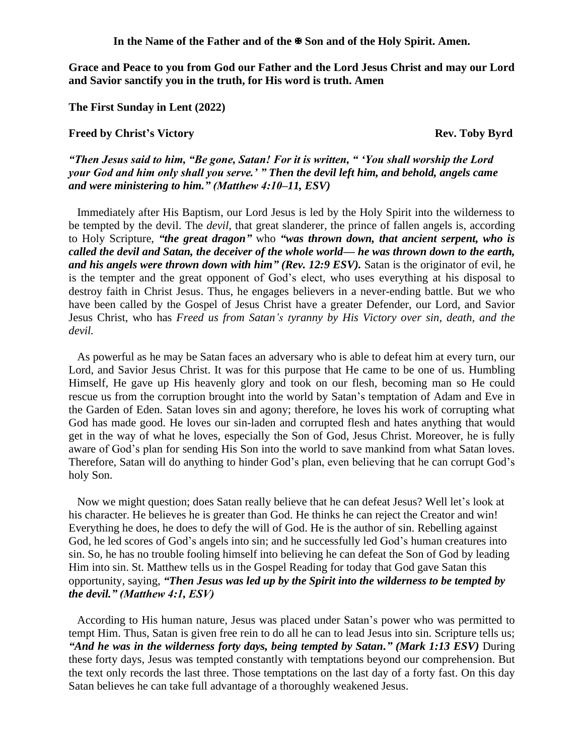**In the Name of the Father and of the Son and of the Holy Spirit. Amen.**

**Grace and Peace to you from God our Father and the Lord Jesus Christ and may our Lord and Savior sanctify you in the truth, for His word is truth. Amen**

**The First Sunday in Lent (2022)**

## **Freed by Christ's Victory Rev. Toby Byrd**

*"Then Jesus said to him, "Be gone, Satan! For it is written, " 'You shall worship the Lord your God and him only shall you serve.' " Then the devil left him, and behold, angels came and were ministering to him." (Matthew 4:10–11, ESV)* 

Immediately after His Baptism, our Lord Jesus is led by the Holy Spirit into the wilderness to be tempted by the devil. The *devil*, that great slanderer, the prince of fallen angels is, according to Holy Scripture, *"the great dragon"* who *"was thrown down, that ancient serpent, who is called the devil and Satan, the deceiver of the whole world— he was thrown down to the earth, and his angels were thrown down with him" (Rev. 12:9 ESV).* Satan is the originator of evil, he is the tempter and the great opponent of God's elect, who uses everything at his disposal to destroy faith in Christ Jesus. Thus, he engages believers in a never-ending battle. But we who have been called by the Gospel of Jesus Christ have a greater Defender, our Lord, and Savior Jesus Christ, who has *Freed us from Satan's tyranny by His Victory over sin, death, and the devil.*

As powerful as he may be Satan faces an adversary who is able to defeat him at every turn, our Lord, and Savior Jesus Christ. It was for this purpose that He came to be one of us. Humbling Himself, He gave up His heavenly glory and took on our flesh, becoming man so He could rescue us from the corruption brought into the world by Satan's temptation of Adam and Eve in the Garden of Eden. Satan loves sin and agony; therefore, he loves his work of corrupting what God has made good. He loves our sin-laden and corrupted flesh and hates anything that would get in the way of what he loves, especially the Son of God, Jesus Christ. Moreover, he is fully aware of God's plan for sending His Son into the world to save mankind from what Satan loves. Therefore, Satan will do anything to hinder God's plan, even believing that he can corrupt God's holy Son.

Now we might question; does Satan really believe that he can defeat Jesus? Well let's look at his character. He believes he is greater than God. He thinks he can reject the Creator and win! Everything he does, he does to defy the will of God. He is the author of sin. Rebelling against God, he led scores of God's angels into sin; and he successfully led God's human creatures into sin. So, he has no trouble fooling himself into believing he can defeat the Son of God by leading Him into sin. St. Matthew tells us in the Gospel Reading for today that God gave Satan this opportunity, saying, *"Then Jesus was led up by the Spirit into the wilderness to be tempted by the devil." (Matthew 4:1, ESV)*

According to His human nature, Jesus was placed under Satan's power who was permitted to tempt Him. Thus, Satan is given free rein to do all he can to lead Jesus into sin. Scripture tells us; *"And he was in the wilderness forty days, being tempted by Satan." (Mark 1:13 ESV)* During these forty days, Jesus was tempted constantly with temptations beyond our comprehension. But the text only records the last three. Those temptations on the last day of a forty fast. On this day Satan believes he can take full advantage of a thoroughly weakened Jesus.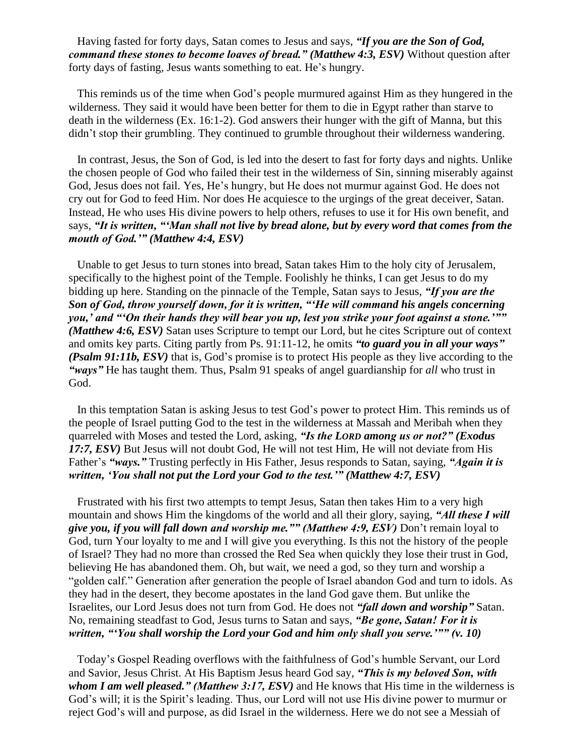Having fasted for forty days, Satan comes to Jesus and says, *"If you are the Son of God, command these stones to become loaves of bread." (Matthew 4:3, ESV)* Without question after forty days of fasting, Jesus wants something to eat. He's hungry.

This reminds us of the time when God's people murmured against Him as they hungered in the wilderness. They said it would have been better for them to die in Egypt rather than starve to death in the wilderness (Ex. 16:1-2). God answers their hunger with the gift of Manna, but this didn't stop their grumbling. They continued to grumble throughout their wilderness wandering.

In contrast, Jesus, the Son of God, is led into the desert to fast for forty days and nights. Unlike the chosen people of God who failed their test in the wilderness of Sin, sinning miserably against God, Jesus does not fail. Yes, He's hungry, but He does not murmur against God. He does not cry out for God to feed Him. Nor does He acquiesce to the urgings of the great deceiver, Satan. Instead, He who uses His divine powers to help others, refuses to use it for His own benefit, and says, *"It is written, "'Man shall not live by bread alone, but by every word that comes from the mouth of God.'" (Matthew 4:4, ESV)*

Unable to get Jesus to turn stones into bread, Satan takes Him to the holy city of Jerusalem, specifically to the highest point of the Temple. Foolishly he thinks, I can get Jesus to do my bidding up here. Standing on the pinnacle of the Temple, Satan says to Jesus, *"If you are the Son of God, throw yourself down, for it is written, "'He will command his angels concerning you,' and "'On their hands they will bear you up, lest you strike your foot against a stone.'"" (Matthew 4:6, ESV)* Satan uses Scripture to tempt our Lord, but he cites Scripture out of context and omits key parts. Citing partly from Ps. 91:11-12, he omits *"to guard you in all your ways" (Psalm 91:11b, ESV)* that is, God's promise is to protect His people as they live according to the *"ways"* He has taught them. Thus, Psalm 91 speaks of angel guardianship for *all* who trust in God.

In this temptation Satan is asking Jesus to test God's power to protect Him. This reminds us of the people of Israel putting God to the test in the wilderness at Massah and Meribah when they quarreled with Moses and tested the Lord, asking, *"Is the LORD among us or not?" (Exodus 17:7, ESV)* But Jesus will not doubt God, He will not test Him, He will not deviate from His Father's *"ways."* Trusting perfectly in His Father, Jesus responds to Satan, saying, *"Again it is written, 'You shall not put the Lord your God to the test.'" (Matthew 4:7, ESV)*

Frustrated with his first two attempts to tempt Jesus, Satan then takes Him to a very high mountain and shows Him the kingdoms of the world and all their glory, saying, *"All these I will give you, if you will fall down and worship me."" (Matthew 4:9, ESV)* Don't remain loyal to God, turn Your loyalty to me and I will give you everything. Is this not the history of the people of Israel? They had no more than crossed the Red Sea when quickly they lose their trust in God, believing He has abandoned them. Oh, but wait, we need a god, so they turn and worship a "golden calf." Generation after generation the people of Israel abandon God and turn to idols. As they had in the desert, they become apostates in the land God gave them. But unlike the Israelites, our Lord Jesus does not turn from God. He does not *"fall down and worship"* Satan. No, remaining steadfast to God, Jesus turns to Satan and says, *"Be gone, Satan! For it is written, "'You shall worship the Lord your God and him only shall you serve.'"" (v. 10)*

Today's Gospel Reading overflows with the faithfulness of God's humble Servant, our Lord and Savior, Jesus Christ. At His Baptism Jesus heard God say, *"This is my beloved Son, with whom I am well pleased." (Matthew 3:17, ESV)* and He knows that His time in the wilderness is God's will; it is the Spirit's leading. Thus, our Lord will not use His divine power to murmur or reject God's will and purpose, as did Israel in the wilderness. Here we do not see a Messiah of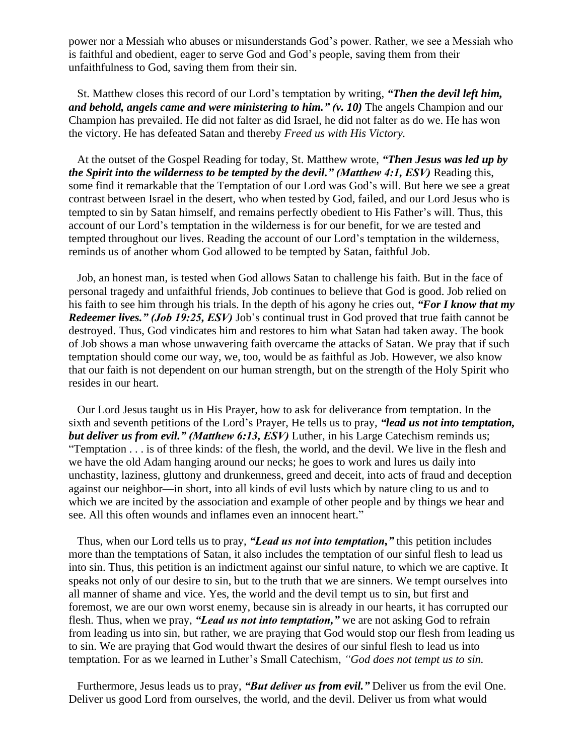power nor a Messiah who abuses or misunderstands God's power. Rather, we see a Messiah who is faithful and obedient, eager to serve God and God's people, saving them from their unfaithfulness to God, saving them from their sin.

St. Matthew closes this record of our Lord's temptation by writing, *"Then the devil left him, and behold, angels came and were ministering to him." (v. 10)* The angels Champion and our Champion has prevailed. He did not falter as did Israel, he did not falter as do we. He has won the victory. He has defeated Satan and thereby *Freed us with His Victory.*

At the outset of the Gospel Reading for today, St. Matthew wrote, *"Then Jesus was led up by the Spirit into the wilderness to be tempted by the devil." (Matthew 4:1, ESV)* Reading this, some find it remarkable that the Temptation of our Lord was God's will. But here we see a great contrast between Israel in the desert, who when tested by God, failed, and our Lord Jesus who is tempted to sin by Satan himself, and remains perfectly obedient to His Father's will. Thus, this account of our Lord's temptation in the wilderness is for our benefit, for we are tested and tempted throughout our lives. Reading the account of our Lord's temptation in the wilderness, reminds us of another whom God allowed to be tempted by Satan, faithful Job.

Job, an honest man, is tested when God allows Satan to challenge his faith. But in the face of personal tragedy and unfaithful friends, Job continues to believe that God is good. Job relied on his faith to see him through his trials. In the depth of his agony he cries out, *"For I know that my Redeemer lives." (Job 19:25, ESV)* Job's continual trust in God proved that true faith cannot be destroyed. Thus, God vindicates him and restores to him what Satan had taken away. The book of Job shows a man whose unwavering faith overcame the attacks of Satan. We pray that if such temptation should come our way, we, too, would be as faithful as Job. However, we also know that our faith is not dependent on our human strength, but on the strength of the Holy Spirit who resides in our heart.

Our Lord Jesus taught us in His Prayer, how to ask for deliverance from temptation. In the sixth and seventh petitions of the Lord's Prayer, He tells us to pray, *"lead us not into temptation, but deliver us from evil." (Matthew 6:13, ESV)* Luther, in his Large Catechism reminds us; "Temptation . . . is of three kinds: of the flesh, the world, and the devil. We live in the flesh and we have the old Adam hanging around our necks; he goes to work and lures us daily into unchastity, laziness, gluttony and drunkenness, greed and deceit, into acts of fraud and deception against our neighbor—in short, into all kinds of evil lusts which by nature cling to us and to which we are incited by the association and example of other people and by things we hear and see. All this often wounds and inflames even an innocent heart."

Thus, when our Lord tells us to pray, *"Lead us not into temptation,"* this petition includes more than the temptations of Satan, it also includes the temptation of our sinful flesh to lead us into sin. Thus, this petition is an indictment against our sinful nature, to which we are captive. It speaks not only of our desire to sin, but to the truth that we are sinners. We tempt ourselves into all manner of shame and vice. Yes, the world and the devil tempt us to sin, but first and foremost, we are our own worst enemy, because sin is already in our hearts, it has corrupted our flesh. Thus, when we pray, *"Lead us not into temptation,"* we are not asking God to refrain from leading us into sin, but rather, we are praying that God would stop our flesh from leading us to sin. We are praying that God would thwart the desires of our sinful flesh to lead us into temptation. For as we learned in Luther's Small Catechism, *"God does not tempt us to sin.* 

Furthermore, Jesus leads us to pray, *"But deliver us from evil."* Deliver us from the evil One. Deliver us good Lord from ourselves, the world, and the devil. Deliver us from what would